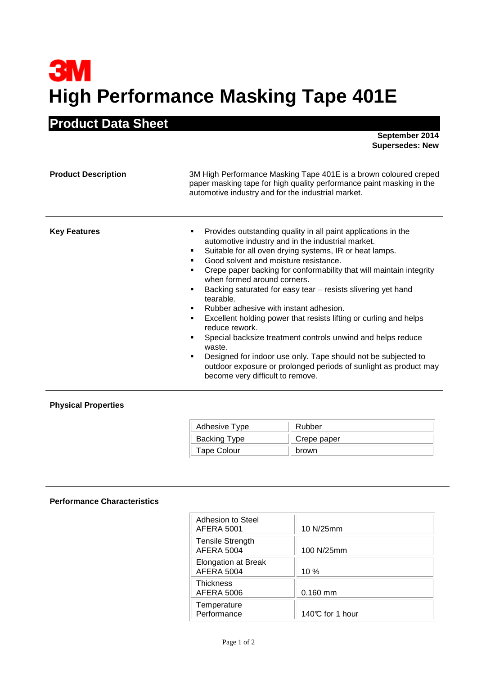## **3M High Performance Masking Tape 401E**

## **Product Data Sheet**

 **September 2014 Supersedes: New** 

| <b>Product Description</b> | 3M High Performance Masking Tape 401E is a brown coloured creped<br>paper masking tape for high quality performance paint masking in the<br>automotive industry and for the industrial market.                                                                                                                                                                                                                                                                                                                                                                                                                                                                                                                                                                                                                        |  |  |
|----------------------------|-----------------------------------------------------------------------------------------------------------------------------------------------------------------------------------------------------------------------------------------------------------------------------------------------------------------------------------------------------------------------------------------------------------------------------------------------------------------------------------------------------------------------------------------------------------------------------------------------------------------------------------------------------------------------------------------------------------------------------------------------------------------------------------------------------------------------|--|--|
| <b>Key Features</b>        | Provides outstanding quality in all paint applications in the<br>٠<br>automotive industry and in the industrial market.<br>Suitable for all oven drying systems, IR or heat lamps.<br>Good solvent and moisture resistance.<br>Crepe paper backing for conformability that will maintain integrity<br>when formed around corners.<br>Backing saturated for easy tear – resists slivering yet hand<br>٠<br>tearable.<br>Rubber adhesive with instant adhesion.<br>Excellent holding power that resists lifting or curling and helps<br>٠<br>reduce rework.<br>Special backsize treatment controls unwind and helps reduce<br>٠<br>waste.<br>Designed for indoor use only. Tape should not be subjected to<br>٠<br>outdoor exposure or prolonged periods of sunlight as product may<br>become very difficult to remove. |  |  |

## **Physical Properties**

| Adhesive Type | Rubber      |  |
|---------------|-------------|--|
| Backing Type  | Crepe paper |  |
| Tape Colour   | brown       |  |

## **Performance Characteristics**

| Adhesion to Steel<br><b>AFERA 5001</b>       | 10 N/25mm       |
|----------------------------------------------|-----------------|
| <b>Tensile Strength</b><br><b>AFERA 5004</b> | 100 N/25mm      |
| <b>Elongation at Break</b><br>AFERA 5004     | $10\%$          |
| <b>Thickness</b><br><b>AFERA 5006</b>        | $0.160$ mm      |
| Temperature<br>Performance                   | 140℃ for 1 hour |